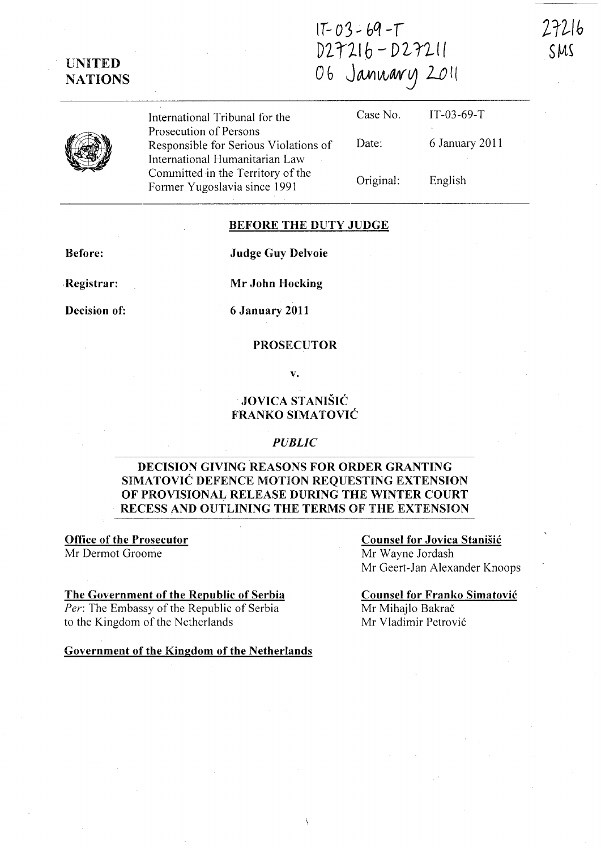$1T - 03 - 69 - T$  $D27216 - D27211$ 06 January 2011

*ZrZ-/b* 

SMS

| UNITED         |
|----------------|
| <b>NATIONS</b> |

| International Tribunal for the                                  |           | Case No. $IT-03-69-T$ |
|-----------------------------------------------------------------|-----------|-----------------------|
| Prosecution of Persons<br>Responsible for Serious Violations of | Date:     | 6 January 2011        |
| International Humanitarian Law                                  |           |                       |
| Committed in the Territory of the                               | Original: | English               |

#### BEFORE THE DUTY JUDGE

Before:

Judge Guy Delvoie

.Registrar:

Decision of:

Mr John Hocking

6 January 2011

Former Yugoslavia since 1991

#### PROSECUTOR

v.

### JOVICA STANIŠIĆ FRANKO SIMATOVIĆ

#### *PUBLIC*

### DECISION GIVING REASONS FOR ORDER GRANTING SIMATOVIĆ DEFENCE MOTION REQUESTING EXTENSION OF PROVISiONAL RELEASE DURING THE WINTER COURT RECESS AND OUTLINING THE TERMS OF THE EXTENSION

Office of the Prosecutor Mr Dermot Groome

#### The Government of the Republic of Serbia

*Per:* The Embassy of the Republic of Serbia to the Kingdom of the Netherlands

Government of the Kingdom of the Netherlands

## Counsel for Jovica Stanisic

Mr Wayne Jordash Mr Geert-Jan Alexander Knoops

## Counsel for Franko Simatovic

Mr Mihajlo Bakrač Mr Vladimir Petrovic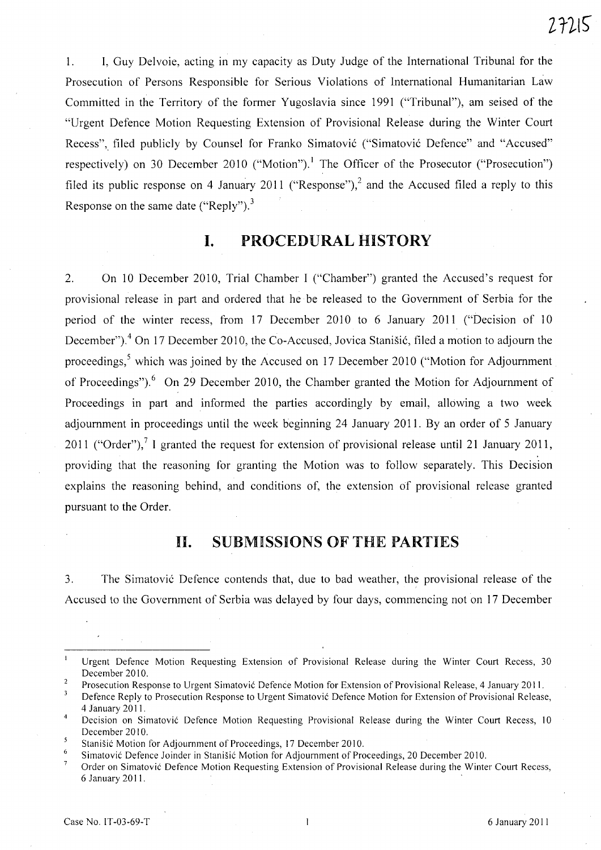1. I, Guy Delvoie, acting in my capacity as Duty Judge of the International Tribunal for the Prosecution of Persons Responsible for Serious Violations of International Humanitarian Law Committed in the Territory of the former Yugoslavia since 1991 ("Tribunal"), am seised of the "Urgent Defence Motion Requesting Extension of Provisional Release during the Winter Court Recess", filed publicly by Counsel for Franko Simatović ("Simatović Defence" and "Accused" respectively) on 30 December 2010 ("Motion").<sup>1</sup> The Officer of the Prosecutor ("Prosecution") filed its public response on 4 January 2011 ("Response"),<sup>2</sup> and the Accused filed a reply to this Response on the same date ("Reply").<sup>3</sup>

## **I. PROCEDURAL HISTORY**

2. On 10 December 2010, Trial Chamber I ("Chamber") granted the Accused's request for provisional release in part and ordered that he be released to the Government of Serbia for the period of the winter recess, from 17 December 2010 to 6 January 2011 ("Decision of 10 December").<sup>4</sup> On 17 December 2010, the Co-Accused, Jovica Stanišić, filed a motion to adjourn the proceedings,<sup>5</sup> which was joined by the Accused on 17 December 2010 ("Motion for Adjournment of Proceedings").<sup>6</sup> On 29 December 2010, the Chamber granted the Motion for Adjournment of Proceedings in part and informed the parties accordingly by email, allowing a two week adjournment in proceedings until the week beginning 24 January 2011. By an order of 5 January 2011 ("Order"),  $^7$  I granted the request for extension of provisional release until 21 January 2011, providing that the reasoning for granting the Motion was to follow separately. This Decision explains the reasoning behind, and conditions of, the extension of provisional release granted pursuant to the Order.

### **11. SUBMISSIONS OF THE PARTIES**

3. The Simatovic Defence contends that, due to bad weather, the provisional release of the Accused to the Government of Serbia was delayed by four days, commencing not on 17 December

Urgent Defence Motion Requesting Extension of Provisional Release during the Winter Court Recess, 30 December 2010.

 $\overline{2}$ Prosecution Response to Urgent Simatović Defence Motion for Extension of Provisional Release, 4 January 2011.

<sup>3</sup> Defence Reply to Prosecution Response to Urgent Simatovi6 Defence Motion for Extension of Provisional Release, 4 January 2011.

Decision on Simatovi6 Defence Motion Requesting Provisional Release during the Winter Court Recess, 10 December 2010.

Stanišić Motion for Adjournment of Proceedings, 17 December 2010.

Simatović Defence Joinder in Stanišić Motion for Adjournment of Proceedings, 20 December 2010.

Order on Simatovi6 Defence Motion Requesting Extension of Provisional Release during the Winter Court Recess, 6 January 2011. .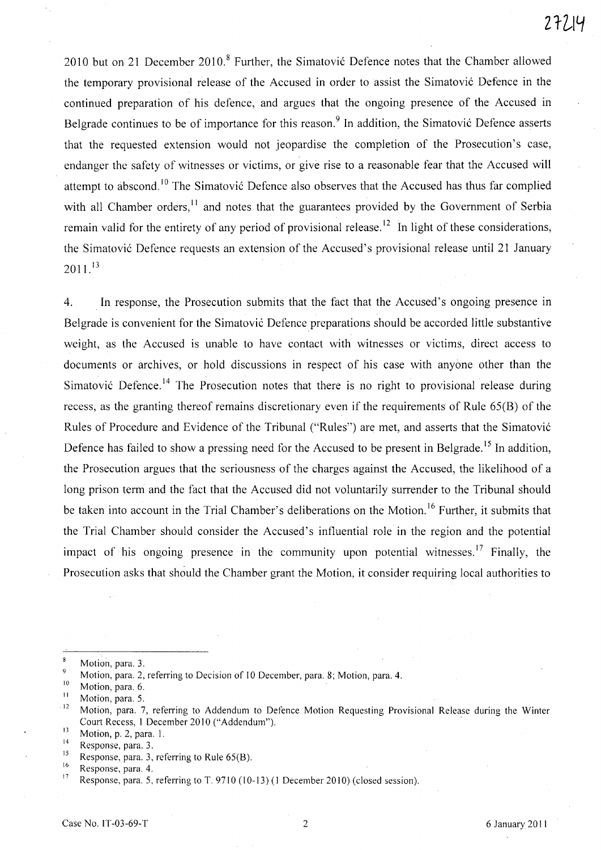2010 but on 21 December 2010.<sup>8</sup> Further, the Simatović Defence notes that the Chamber allowed the temporary provisional release of the Accused in order to assist the Simatovic Defence in the continued preparation of his defence, and argues that the ongoing presence of the Accused in Belgrade continues to be of importance for this reason.<sup>9</sup> In addition, the Simatović Defence asserts that the requested extension would not jeopardise the completion of the Prosecution's case, endanger the safety of witnesses or victims, or give rise to a reasonable fear that the Accused will attempt to abscond.<sup>10</sup> The Simatović Defence also observes that the Accused has thus far complied with all Chamber orders,<sup>11</sup> and notes that the guarantees provided by the Government of Serbia remain valid for the entirety of any period of provisional release.<sup>12</sup> In light of these considerations, the Simatovic Defence requests an extension of the Accused's provisional release until 21 January  $2011<sup>13</sup>$ 

4. . In response, the Prosecution submits that the fact that the Accused's ongoing presence in Belgrade is convenient for the Simatovic Defence preparations should be accorded little substantive weight, as the Accused is unable to have contact with witnesses or victims, direct access to documents or archives, or hold discussions in respect of his case with anyone other than the Simatović Defence.<sup>14</sup> The Prosecution notes that there is no right to provisional release during recess, as the granting thereof remains discretionary even if the requirements of Rule 65(B) of the Rules of Procedure and Evidence of the Tribunal ("Rules") are met, and asserts that the Simatovic Defence has failed to show a pressing need for the Accused to be present in Belgrade.<sup>15</sup> In addition, the Prosecution argues that the seriousness of the charges against the Accused, the likelihood of a long prison term and the fact that the Accused did not voluntarily surrender to the Tribunal should be taken into account in the Trial Chamber's deliberations on the Motion.<sup>16</sup> Further, it submits that the Trial Chamber should consider the Accused's influential role in the region and the potential impact of his ongoing presence in the community upon potential witnesses.<sup>17</sup> Finally, the Prosecution asks that should the Chamber grant the Motion, it consider requiring local authorities to

 $\mathbf{8}$ Motion, para. 3.

 $\ddot{Q}$ Motion, para. 2, referring to Decision of 10 December, para. 8; Motion, para. 4.

 $\frac{10}{11}$  Motion, para. 6.

 $\frac{11}{12}$  Motion, para. 5.

<sup>12</sup>Motion, para. 7, referring to Addendum to Defence Motion Requesting Provisional Release during the Winter Court Recess, 1 December 2010 ("Addendum").

 $13$  Motion, p. 2, para. 1.

 $14$  Response, para. 3.

<sup>&</sup>lt;sup>15</sup> Response, para. 3, referring to Rule 65(B).

 $\frac{16}{17}$  Response, para. 4.

Response, para. 5, referring to T. 9710 (10-13) (1 December 2010) (closed session).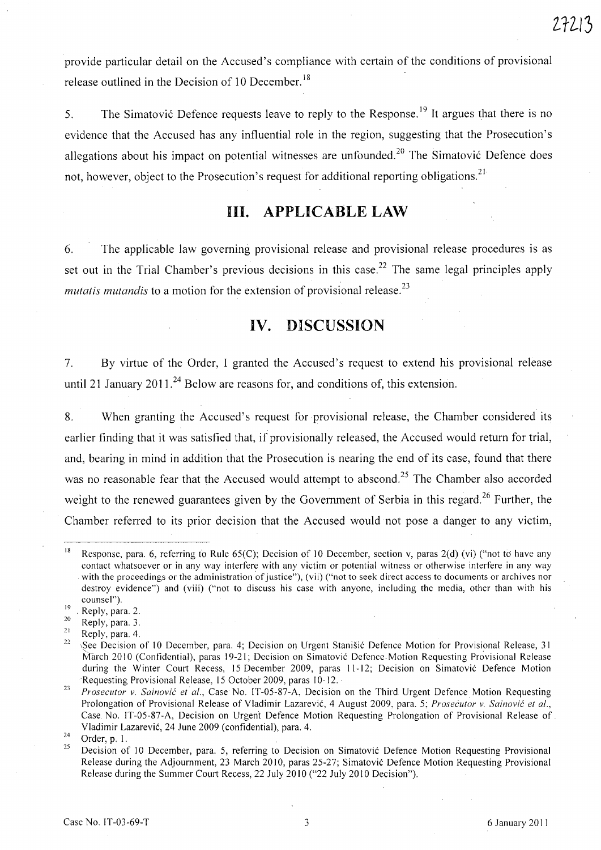provide particular detail on the Accused's compliance with certain of the conditions of provisional release outlined in the Decision of 10 December.<sup>18</sup>

5. The Simatović Defence requests leave to reply to the Response.<sup>19</sup> It argues that there is no evidence that the Accused has any influential role in the region, suggesting that the Prosecution's allegations about his impact on potential witnesses are unfounded.<sup>20</sup> The Simatović Defence does not, however, object to the Prosecution's request for additional reporting obligations.<sup>21</sup>

# **Ill. APPLICABLE LAW**

6. The applicable law governing provisional release and provisional release procedures is as set out in the Trial Chamber's previous decisions in this case.<sup>22</sup> The same legal principles apply *mutatis mutandis* to a motion for the extension of provisional release.<sup>23</sup>

## **IV. DISCUSSION**

7. By virtue of the Order, I granted the Accused's request to extend his provisional release until 21 January  $2011^{24}$  Below are reasons for, and conditions of, this extension.

8. When granting the Accused's request for provisional release, the Chamber considered its earlier finding that it was satisfied that, if provisionally released, the Accused would return for trial, and, bearing in mind in addition that the Prosecution is nearing the end of its case, found that there was no reasonable fear that the Accused would attempt to abscond.<sup>25</sup> The Chamber also accorded weight to the renewed guarantees given by the Government of Serbia in this regard.<sup>26</sup> Further, the Chamber referred to its prior decision that the Accused would not pose a danger to any victim,

<sup>&</sup>lt;sup>18</sup> Response, para. 6, referring to Rule 65(C); Decision of 10 December, section v, paras 2(d) (vi) ("not to have any contact whatsoever or in any way interfere with any victim or potential witness or otherwise interfere in any way with the proceedings or the administration of justice"), (vii) ("not to seek direct access to documents or archives nor destroy evidence") and (viii) ("not to discuss his case with anyone, including the media, other than with his counsel").

 $\frac{19}{20}$ . Reply, para. 2.

 $\frac{20}{21}$  **Reply, para.** 3.

 $\frac{21}{22}$  Reply, para. 4.

<sup>§</sup>See Decision of 10 December, para. 4; Decision on Urgent Stanišić Defence Motion for Provisional Release, 31 March 2010 (Confidential), paras 19-21; Decision on Simatovic Defence Motion Requesting Provisional Release during the Winter Court Recess, 15 December 2009, paras 11-12; Decision on Simatovic Defence Motion Requesting Provisional Release, 15 October 2009, paras 10-12.

*<sup>23</sup> Prosecutor v. Sainovic et al.,* Case No. IT-05-87-A, Decision on the Third Urgent Defence Motion Requesting Prolongation of Provisional Release of Vladimir Lazarevic, 4 August 2009, para. 5; *Prosecutor v. Sainovic et al.,*  Case No. IT-05-87-A, Decision on Urgent Defence Motion Requesting Prolongation of Provisional Release of Vladimir Lazarevic, 24 June 2009 (confidential), para. 4.

 $rac{24}{25}$  Order, p. 1.

Decision of 10 December, para. 5, referring to Decision on Simatovic Defence Motion Requesting Provisional Release during the Adjournment, 23 March 2010, paras 25-27; Simatovic Defence Motion Requesting Provisional Release during the Summer Court Recess, 22 July 2010 ("22 July 2010 Decision").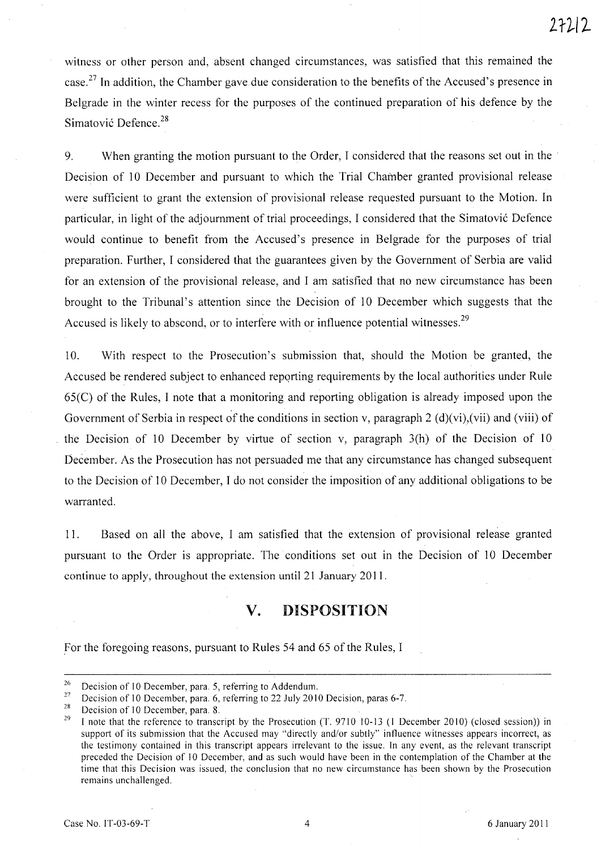witness or other person and, absent changed circumstances, was satisfied that this remained the case.<sup>27</sup> In addition, the Chamber gave due consideration to the benefits of the Accused's presence in Belgrade in the winter recess for the purposes of the continued preparation of his defence by the Simatović Defence.<sup>28</sup>

9. When granting the motion pursuant to the Order, I considered that the reasons set out in the Decision of 10 December and pursuant to which the Trial Chamber granted provisional release were sufficient to grant the extension of provisional release requested pursuant to the Motion. In particular, in light of the adjournment of trial proceedings, I considered that the Simatović Defence would continue to benefit from the Accused's presence in Belgrade for the purposes of trial preparation. Further, I considered that the guarantees given by the Government of Serbia are valid for an extension of the provisional release, and I am satisfied that no new circumstance has been brought to the Tribunal's attention since the Decision of 10 December which suggests that the Accused is likely to abscond, or to interfere with or influence potential witnesses.<sup>29</sup>

10. With respect to the Prosecution's submission that, should the Motion be granted, the Accused be rendered subject to enhanced reporting requirements by the local authorities under Rule 65(C) of the Rules, I note that a monitoring and reporting obligation is already imposed upon the Government of Serbia in respect of the conditions in section v, paragraph  $2(d)(vi)$ , (vii) and (viii) of the Decision of 10 December by virtue of section v, paragraph 3(h) of the Decision of 10 December. As the Prosecution has not persuaded me that any circumstance has changed subsequent to the Decision of 10 December, I do not consider the imposition of any additional obligations to be warranted.

11. Based on all the above, I am satisfied that the extension of provisional release granted pursuant to the Order is appropriate. The conditions set out in the Decision of 10 December continue to apply, throughout the extension until 21 January 2011.

# **v. DISPOSITION**

For the foregoing reasons, pursuant to Rules 54 and 65 of the Rules, I

<sup>&</sup>lt;sup>26</sup> Decision of 10 December, para. 5, referring to Addendum.<br><sup>27</sup> Decision of 10 December, para. 6, referring to 22 July 2014

<sup>&</sup>lt;sup>27</sup> Decision of 10 December, para. 6, referring to 22 July 2010 Decision, paras 6-7.

<sup>&</sup>lt;sup>28</sup> Decision of 10 December, para. 8.

I note that the reference to transcript by the Prosecution (T. 9710 10-13 (1 December 2010) (closed session)) in support of its submission that the Accused may "directly and/or subtly" influence witnesses appears incorrect, as the testimony contained in this transcript appears irrelevant to the issue. In any event, as the relevant transcript preceded the Decision of 10 December, and as such would have been in the contemplation of the Chamber at the time that this Decision was issued, the conclusion that no new circumstance has been shown by the Prosecution remains unchallenged.